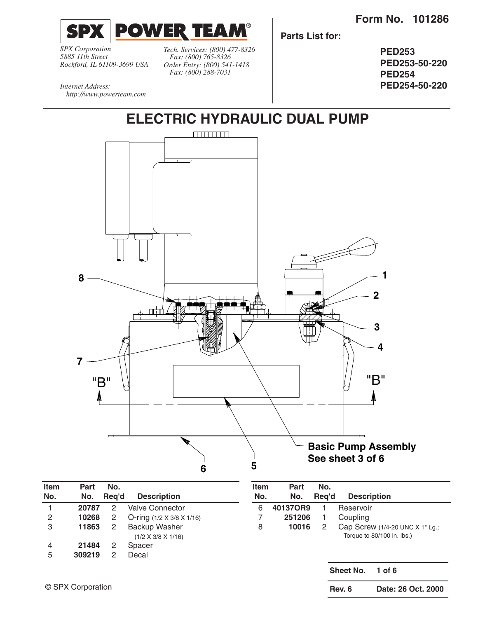

*SPX Corporation 5885 11th Street Rockford, IL 61109-3699 USA* *Tech. Services: (800) 477-8326 Fax: (800) 765-8326 Order Entry: (800) 541-1418 Fax: (800) 288-7031*

**Parts List for:**

**PED253 PED253-50-220 PED254 PED254-50-220**

*Internet Address: http://www.powerteam.com*



| Item<br>No. | Part<br>No. | No.<br>Rea'd | <b>Description</b>                                     | <b>Item</b><br>No. | Part<br>No. | No.<br>Rea'd | <b>Description</b>                                            |
|-------------|-------------|--------------|--------------------------------------------------------|--------------------|-------------|--------------|---------------------------------------------------------------|
|             | 20787       | 2            | <b>Valve Connector</b>                                 | 6                  | 40137OR9    |              | Reservoir                                                     |
| 2           | 10268       | 2            | O-ring $(1/2 \times 3/8 \times 1/16)$                  |                    | 251206      |              | Coupling                                                      |
| 3           | 11863       | 2            | <b>Backup Washer</b><br>$(1/2 \times 3/8 \times 1/16)$ | 8                  | 10016       | 2            | Cap Screw (1/4-20 UNC X 1" Lg.;<br>Torque to 80/100 in. lbs.) |
| 4           | 21484       | 2            | Spacer                                                 |                    |             |              |                                                               |
| 5           | 309219      | 2            | Decal                                                  |                    |             |              | <b>Sheet No.</b><br>1 of $6$                                  |

**Rev. 6 Date: 26 Oct. 2000**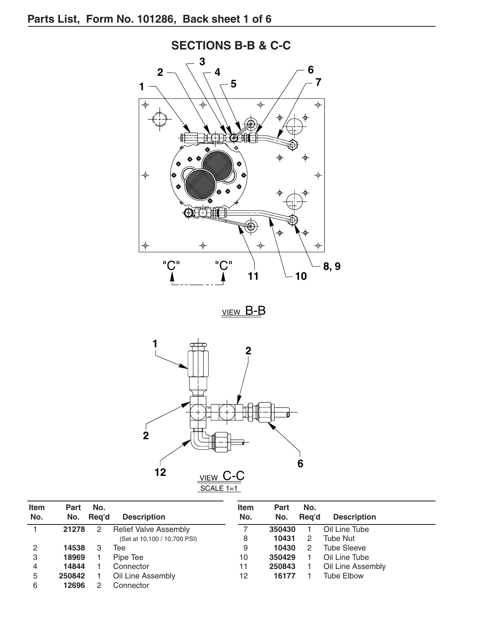

VIEW B-B



| <b>Item</b><br>No. | <b>Part</b><br>No. | No.<br>Reg'd | <b>Description</b>           | <b>Item</b><br>No. | <b>Part</b><br>No. | No.<br>Reg'd   | <b>Description</b> |
|--------------------|--------------------|--------------|------------------------------|--------------------|--------------------|----------------|--------------------|
|                    | 21278              |              | <b>Relief Valve Assembly</b> |                    | 350430             |                | Oil Line Tube      |
|                    |                    |              | (Set at 10,100 / 10,700 PSI) | 8                  | 10431              | 2              | <b>Tube Nut</b>    |
| 2                  | 14538              |              | Tee                          | 9                  | 10430              | $\overline{2}$ | <b>Tube Sleeve</b> |
| 3                  | 18969              |              | Pipe Tee                     | 10                 | 350429             |                | Oil Line Tube      |
| 4                  | 14844              |              | Connector                    | 11                 | 250843             |                | Oil Line Assembly  |
| 5                  | 250842             |              | Oil Line Assembly            | 12                 | 16177              |                | <b>Tube Elbow</b>  |
| 6                  | 12696              |              | Connector                    |                    |                    |                |                    |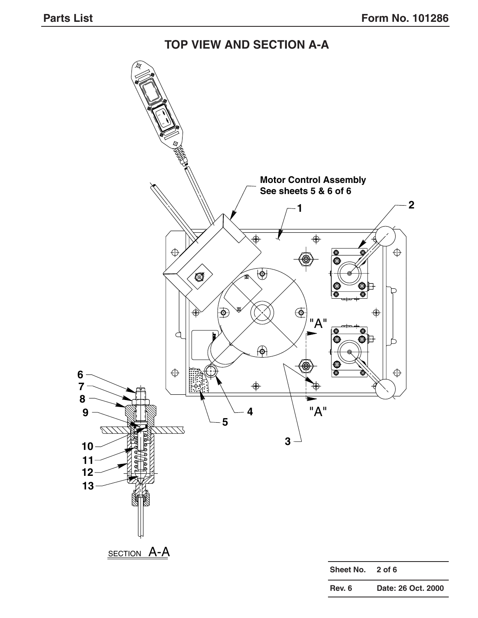**TOP VIEW AND SECTION A-A**

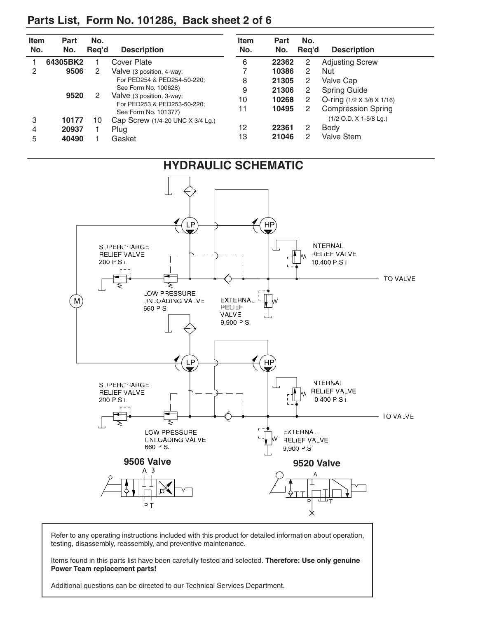## **Parts List, Form No. 101286, Back sheet 2 of 6**

| <b>Item</b><br>No. | Part<br>No. | No.<br>Reg'd | <b>Description</b>                                  | <b>Item</b><br>No. | <b>Part</b><br>No. | No.<br>Reg'd         | <b>Description</b>                    |
|--------------------|-------------|--------------|-----------------------------------------------------|--------------------|--------------------|----------------------|---------------------------------------|
|                    | 64305BK2    |              | Cover Plate                                         | 6                  | 22362              | 2                    | <b>Adjusting Screw</b>                |
| 2                  | 9506        | 2            | Valve (3 position, 4-way;                           |                    | 10386              | 2                    | <b>Nut</b>                            |
|                    |             |              | For PED254 & PED254-50-220:                         | 8                  | 21305              | 2                    | Valve Cap                             |
|                    |             |              | See Form No. 100628)                                | 9                  | 21306              | 2                    | <b>Spring Guide</b>                   |
|                    | 9520        |              | Valve (3 position, 3-way;                           | 10                 | 10268              | $\overline{2}$       | O-ring $(1/2 \times 3/8 \times 1/16)$ |
|                    |             |              | For PED253 & PED253-50-220:<br>See Form No. 101377) | 11                 | 10495              | $\mathbf{2}^{\circ}$ | <b>Compression Spring</b>             |
| 3                  | 10177       | 10           | Cap Screw (1/4-20 UNC X 3/4 Lg.)                    |                    |                    |                      | $(1/2$ O.D. X 1-5/8 Lg.)              |
| 4                  | 20937       |              | Plug                                                | 12                 | 22361              | 2                    | <b>Body</b>                           |
| 5                  | 40490       |              | Gasket                                              | 13                 | 21046              | $\mathcal{P}$        | Valve Stem                            |



Refer to any operating instructions included with this product for detailed information about operation, testing, disassembly, reassembly, and preventive maintenance.

Items found in this parts list have been carefully tested and selected. **Therefore: Use only genuine Power Team replacement parts!**

Additional questions can be directed to our Technical Services Department.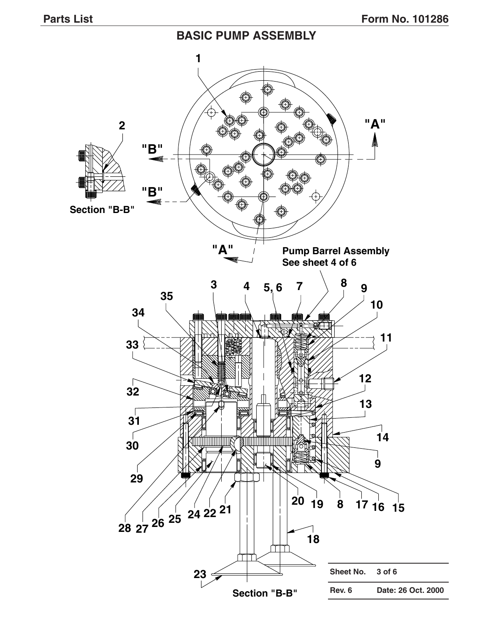### **BASIC PUMP ASSEMBLY**

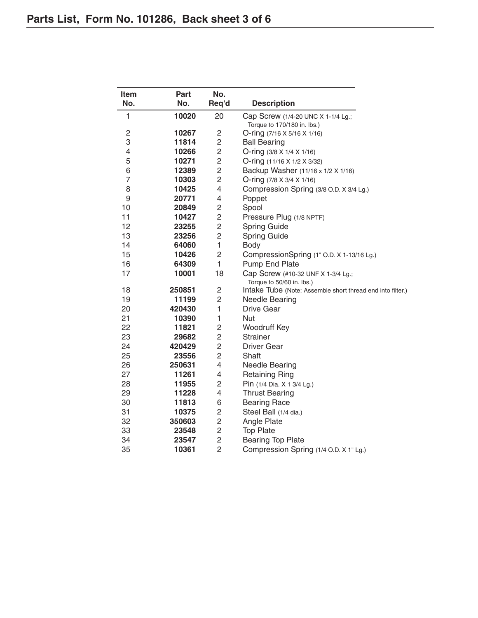| Item           | Part   | No.                     |                                                            |  |  |  |
|----------------|--------|-------------------------|------------------------------------------------------------|--|--|--|
| No.            | No.    | Req'd                   | <b>Description</b>                                         |  |  |  |
| 1              | 10020  | 20                      | Cap Screw (1/4-20 UNC X 1-1/4 Lg.;                         |  |  |  |
|                |        |                         | Torque to 170/180 in. lbs.)                                |  |  |  |
| $\mathbf{2}$   | 10267  | $\overline{c}$          | O-ring (7/16 X 5/16 X 1/16)                                |  |  |  |
| 3              | 11814  | 2                       | <b>Ball Bearing</b>                                        |  |  |  |
| $\overline{4}$ | 10266  | $\overline{\mathbf{c}}$ | O-ring (3/8 X 1/4 X 1/16)                                  |  |  |  |
| 5              | 10271  | $\overline{c}$          | O-ring (11/16 X 1/2 X 3/32)                                |  |  |  |
| 6              | 12389  | $\overline{c}$          | Backup Washer (11/16 x 1/2 X 1/16)                         |  |  |  |
| $\overline{7}$ | 10303  | $\overline{c}$          | O-ring $(7/8 \times 3/4 \times 1/16)$                      |  |  |  |
| 8              | 10425  | 4                       | Compression Spring (3/8 O.D. X 3/4 Lg.)                    |  |  |  |
| 9              | 20771  | 4                       | Poppet                                                     |  |  |  |
| 10             | 20849  | 2                       | Spool                                                      |  |  |  |
| 11             | 10427  | $\overline{c}$          | Pressure Plug (1/8 NPTF)                                   |  |  |  |
| 12             | 23255  | $\overline{c}$          | <b>Spring Guide</b>                                        |  |  |  |
| 13             | 23256  | $\overline{c}$          | <b>Spring Guide</b>                                        |  |  |  |
| 14             | 64060  | 1                       | Body                                                       |  |  |  |
| 15             | 10426  | 2                       | CompressionSpring (1" O.D. X 1-13/16 Lg.)                  |  |  |  |
| 16             | 64309  | 1                       | Pump End Plate                                             |  |  |  |
| 17             | 10001  | 18                      | Cap Screw (#10-32 UNF X 1-3/4 Lg.;                         |  |  |  |
|                |        |                         | Torque to 50/60 in. lbs.)                                  |  |  |  |
| 18             | 250851 | $\overline{c}$          | Intake Tube (Note: Assemble short thread end into filter.) |  |  |  |
| 19             | 11199  | 2                       | <b>Needle Bearing</b>                                      |  |  |  |
| 20             | 420430 | 1                       | <b>Drive Gear</b>                                          |  |  |  |
| 21             | 10390  | 1                       | Nut                                                        |  |  |  |
| 22             | 11821  | $\overline{c}$          | Woodruff Key                                               |  |  |  |
| 23             | 29682  | $\overline{c}$          | <b>Strainer</b>                                            |  |  |  |
| 24             | 420429 | $\overline{c}$          | <b>Driver Gear</b>                                         |  |  |  |
| 25             | 23556  | $\overline{c}$          | Shaft                                                      |  |  |  |
| 26             | 250631 | 4                       | <b>Needle Bearing</b>                                      |  |  |  |
| 27             | 11261  | 4                       | <b>Retaining Ring</b>                                      |  |  |  |
| 28             | 11955  | $\overline{c}$          | Pin (1/4 Dia. X 1 3/4 Lg.)                                 |  |  |  |
| 29             | 11228  | 4                       | <b>Thrust Bearing</b>                                      |  |  |  |
| 30             | 11813  | 6                       | <b>Bearing Race</b>                                        |  |  |  |
| 31             | 10375  | 2                       | Steel Ball (1/4 dia.)                                      |  |  |  |
| 32             | 350603 | $\overline{c}$          | Angle Plate                                                |  |  |  |
| 33             | 23548  | $\overline{c}$          | <b>Top Plate</b>                                           |  |  |  |
| 34             | 23547  | $\overline{c}$          | <b>Bearing Top Plate</b>                                   |  |  |  |
| 35             | 10361  | $\overline{2}$          | Compression Spring (1/4 O.D. X 1" Lg.)                     |  |  |  |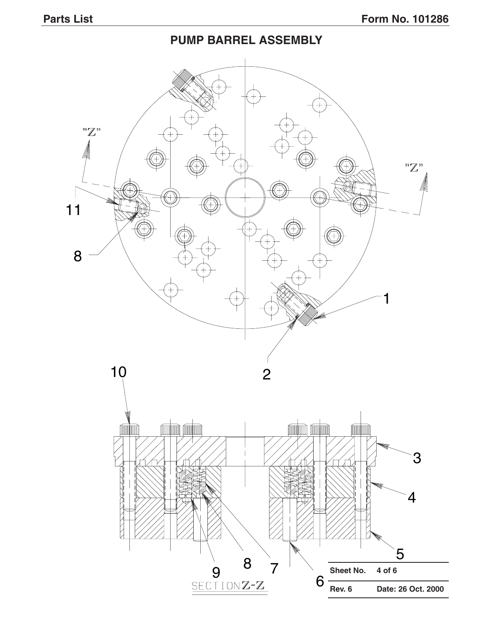## **PUMP BARREL ASSEMBLY**

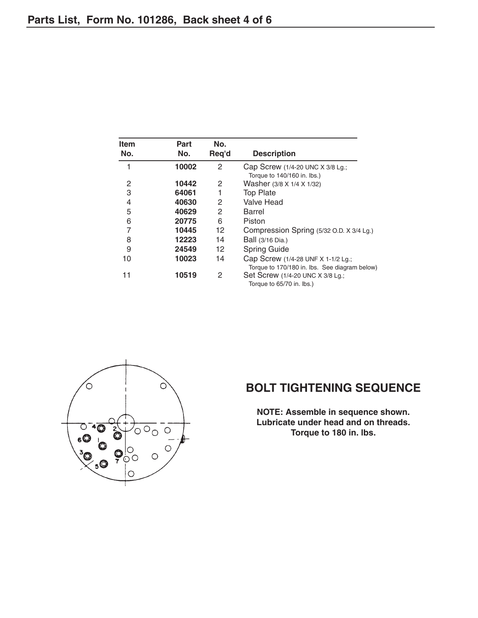| <b>Item</b><br>No. | Part<br>No. | No.<br>Req'd | <b>Description</b>                            |
|--------------------|-------------|--------------|-----------------------------------------------|
|                    | 10002       | 2            | Cap Screw (1/4-20 UNC X 3/8 Lg.;              |
|                    |             |              | Torque to 140/160 in. lbs.)                   |
| 2                  | 10442       | 2            | Washer (3/8 X 1/4 X 1/32)                     |
| 3                  | 64061       |              | <b>Top Plate</b>                              |
| 4                  | 40630       | 2            | <b>Valve Head</b>                             |
| 5                  | 40629       | 2            | Barrel                                        |
| 6                  | 20775       | 6            | Piston                                        |
| 7                  | 10445       | 12           | Compression Spring (5/32 O.D. X 3/4 Lg.)      |
| 8                  | 12223       | 14           | Ball (3/16 Dia.)                              |
| 9                  | 24549       | 12           | <b>Spring Guide</b>                           |
| 10                 | 10023       | 14           | Cap Screw (1/4-28 UNF X 1-1/2 Lg.;            |
|                    |             |              | Torque to 170/180 in. lbs. See diagram below) |
| 11                 | 10519       | 2            | Set Screw (1/4-20 UNC X 3/8 Lg.;              |
|                    |             |              | Torque to 65/70 in. lbs.)                     |



## **BOLT TIGHTENING SEQUENCE**

**NOTE: Assemble in sequence shown. Lubricate under head and on threads. Torque to 180 in. lbs.**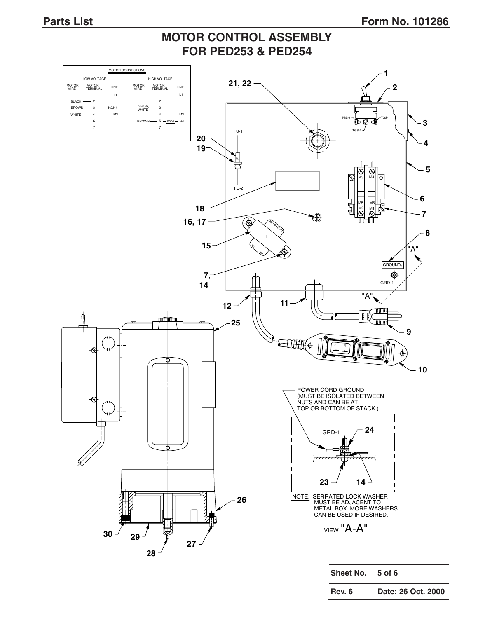## **MOTOR CONTROL ASSEMBLY FOR PED253 & PED254**



**Rev. 6 Date: 26 Oct. 2000**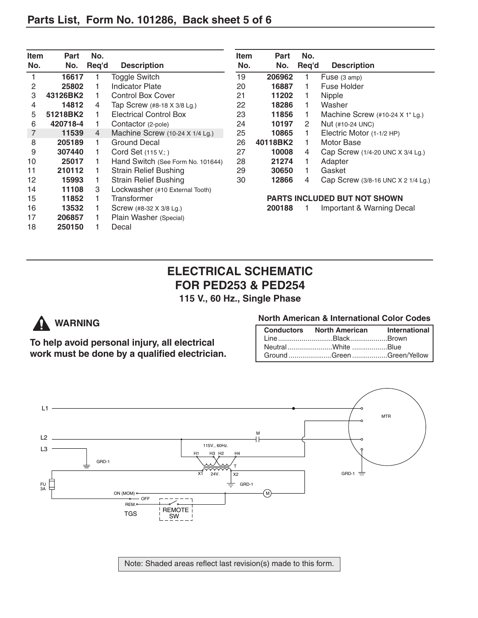| <b>Item</b> | Part     | No.   |                                   | <b>Item</b>                  | <b>Part</b> | No.   |                                    |
|-------------|----------|-------|-----------------------------------|------------------------------|-------------|-------|------------------------------------|
| No.         | No.      | Req'd | <b>Description</b>                | No.                          | No.         | Req'd | <b>Description</b>                 |
|             | 16617    |       | Toggle Switch                     | 19                           | 206962      |       | Fuse (3 amp)                       |
| 2           | 25802    |       | <b>Indicator Plate</b>            | 20                           | 16887       |       | Fuse Holder                        |
| 3           | 43126BK2 |       | <b>Control Box Cover</b>          | 21                           | 11202       |       | <b>Nipple</b>                      |
| 4           | 14812    | 4     | Tap Screw (#8-18 X 3/8 Lg.)       | 22                           | 18286       |       | Washer                             |
| 5           | 51218BK2 |       | <b>Electrical Control Box</b>     | 23                           | 11856       | 1.    | Machine Screw (#10-24 X 1" Lg.)    |
| 6           | 420718-4 |       | Contactor (2-pole)                | 24                           | 10197       | 2     | Nut (#10-24 UNC)                   |
| 7           | 11539    | 4     | Machine Screw (10-24 X 1/4 Lg.)   | 25                           | 10865       |       | Electric Motor (1-1/2 HP)          |
| 8           | 205189   |       | Ground Decal                      | 26                           | 40118BK2    |       | Motor Base                         |
| 9           | 307440   |       | Cord Set $(115 V; )$              | 27                           | 10008       | 4     | Cap Screw (1/4-20 UNC X 3/4 Lg.)   |
| 10          | 25017    |       | Hand Switch (See Form No. 101644) | 28                           | 21274       |       | Adapter                            |
| 11          | 210112   |       | <b>Strain Relief Bushing</b>      | 29                           | 30650       | 1.    | Gasket                             |
| 12          | 15993    |       | <b>Strain Relief Bushing</b>      | 30                           | 12866       | 4     | Cap Screw (3/8-16 UNC X 2 1/4 Lg.) |
| 14          | 11108    | 3     | Lockwasher (#10 External Tooth)   |                              |             |       |                                    |
| 15          | 11852    |       | Transformer                       | PARTS INCLUDED BUT NOT SHOWN |             |       |                                    |
| 16          | 13532    |       | Screw (#8-32 X 3/8 Lg.)           |                              | 200188      |       | Important & Warning Decal          |
| 17          | 206857   |       | Plain Washer (Special)            |                              |             |       |                                    |
| 18          | 250150   |       | Decal                             |                              |             |       |                                    |

## **ELECTRICAL SCHEMATIC FOR PED253 & PED254**

**115 V., 60 Hz., Single Phase**

# **WARNING**

**To help avoid personal injury, all electrical work must be done by a qualified electrician.**

#### **North American & International Color Codes**

| Conductors North American International |  |
|-----------------------------------------|--|
| LineBlackBrown                          |  |
| NeutralWhite Blue                       |  |
| Ground Green Green/Yellow               |  |



Note: Shaded areas reflect last revision(s) made to this form.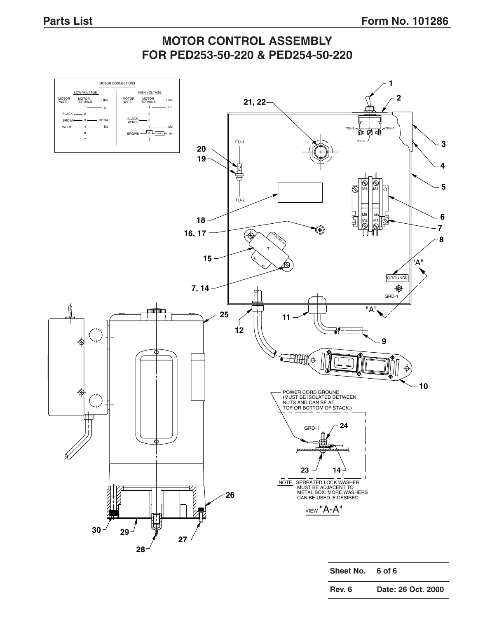## **MOTOR CONTROL ASSEMBLY FOR PED253-50-220 & PED254-50-220**



| Rev. 6 | Date: 26 Oct. 2000 |
|--------|--------------------|
|        |                    |